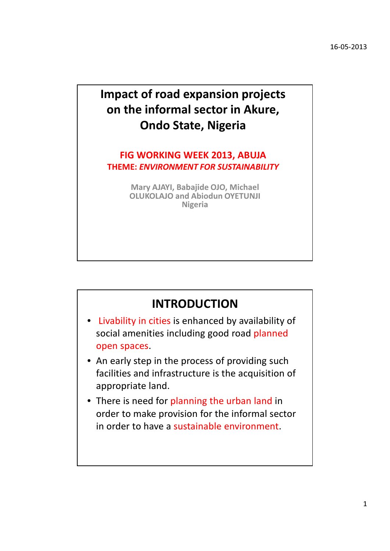## Impact of road expansion projects on the informal sector in Akure, Ondo State, Nigeria

#### FIG WORKING WEEK 2013, ABUJA THEME: ENVIRONMENT FOR SUSTAINABILITY

Mary AJAYI, Babajide OJO, Michael OLUKOLAJO and Abiodun OYETUNJI Nigeria

#### INTRODUCTION

- Livability in cities is enhanced by availability of social amenities including good road planned open spaces.
- An early step in the process of providing such facilities and infrastructure is the acquisition of appropriate land.
- There is need for planning the urban land in order to make provision for the informal sector in order to have a sustainable environment.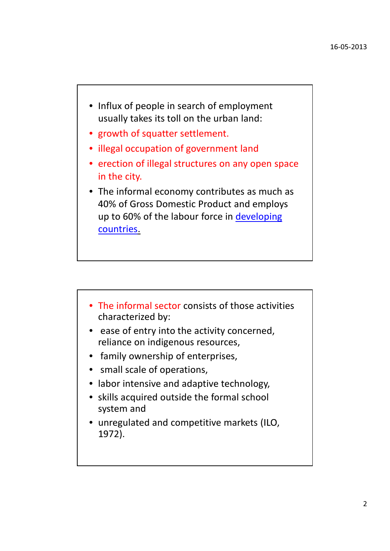- Influx of people in search of employment usually takes its toll on the urban land:
- growth of squatter settlement.
- illegal occupation of government land
- erection of illegal structures on any open space in the city.
- The informal economy contributes as much as 40% of Gross Domestic Product and employs up to 60% of the labour force in developing countries.

- The informal sector consists of those activities characterized by:
- ease of entry into the activity concerned, reliance on indigenous resources,
- family ownership of enterprises,
- small scale of operations,
- labor intensive and adaptive technology,
- skills acquired outside the formal school system and
- unregulated and competitive markets (ILO, 1972).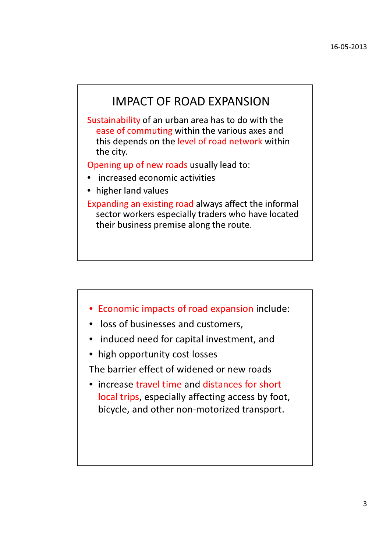#### IMPACT OF ROAD EXPANSION

Sustainability of an urban area has to do with the ease of commuting within the various axes and this depends on the level of road network within the city.

Opening up of new roads usually lead to:

- increased economic activities
- higher land values

Expanding an existing road always affect the informal sector workers especially traders who have located their business premise along the route.

- Economic impacts of road expansion include:
- loss of businesses and customers,
- induced need for capital investment, and
- high opportunity cost losses

The barrier effect of widened or new roads

• increase travel time and distances for short local trips, especially affecting access by foot, bicycle, and other non-motorized transport.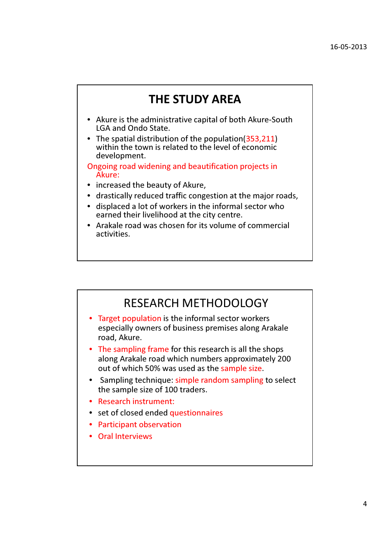#### THE STUDY AREA

- Akure is the administrative capital of both Akure-South LGA and Ondo State.
- The spatial distribution of the population (353,211) within the town is related to the level of economic development.

Ongoing road widening and beautification projects in Akure:

- increased the beauty of Akure,
- drastically reduced traffic congestion at the major roads,
- displaced a lot of workers in the informal sector who earned their livelihood at the city centre.
- Arakale road was chosen for its volume of commercial activities.

#### RESEARCH METHODOLOGY

- Target population is the informal sector workers especially owners of business premises along Arakale road, Akure.
- The sampling frame for this research is all the shops along Arakale road which numbers approximately 200 out of which 50% was used as the sample size.
- Sampling technique: simple random sampling to select the sample size of 100 traders.
- Research instrument:
- set of closed ended questionnaires
- Participant observation
- Oral Interviews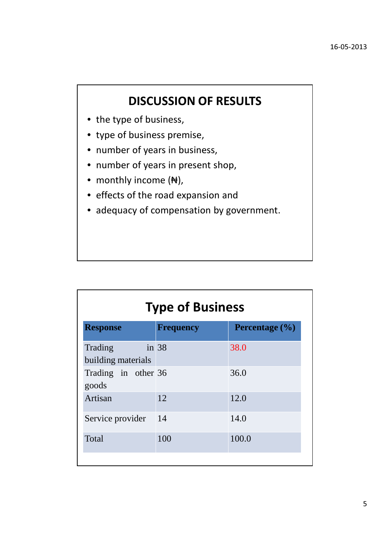### DISCUSSION OF RESULTS

- the type of business,
- type of business premise,
- number of years in business,
- number of years in present shop,
- monthly income (N),
- effects of the road expansion and
- adequacy of compensation by government.

| <b>Type of Business</b>       |                  |                    |
|-------------------------------|------------------|--------------------|
| <b>Response</b>               | <b>Frequency</b> | Percentage $(\% )$ |
| Trading<br>building materials | in $38$          | 38.0               |
| Trading in other 36<br>goods  |                  | 36.0               |
| Artisan                       | 12               | 12.0               |
| Service provider              | 14               | 14.0               |
| Total                         | 100              | 100.0              |
|                               |                  |                    |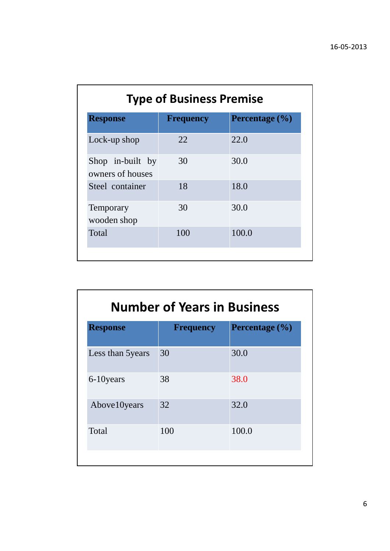| <b>Type of Business Premise</b>      |                  |                    |
|--------------------------------------|------------------|--------------------|
| <b>Response</b>                      | <b>Frequency</b> | Percentage $(\% )$ |
| Lock-up shop                         | 22               | 22.0               |
| Shop in-built by<br>owners of houses | 30               | 30.0               |
| Steel container                      | 18               | 18.0               |
| Temporary<br>wooden shop             | 30               | 30.0               |
| <b>Total</b>                         | 100              | 100.0              |

|                  | <b>Number of Years in Business</b> |  |  |
|------------------|------------------------------------|--|--|
| <b>Frequency</b> | Percentage $(\% )$                 |  |  |
| 30               | 30.0                               |  |  |
| 38               | 38.0                               |  |  |
| 32               | 32.0                               |  |  |
| 100              | 100.0                              |  |  |
|                  |                                    |  |  |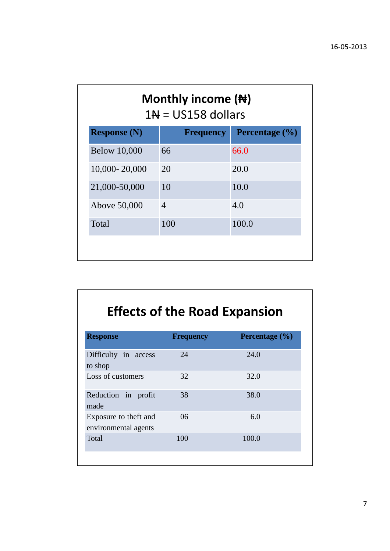| Monthly income $(\bigstar)$<br>$1N = US158$ dollars |                    |  |
|-----------------------------------------------------|--------------------|--|
| <b>Frequency</b>                                    | Percentage $(\% )$ |  |
| 66                                                  | 66.0               |  |
| 20                                                  | 20.0               |  |
| 10                                                  | 10.0               |  |
| $\overline{4}$                                      | 4.0                |  |
| 100                                                 | 100.0              |  |
|                                                     |                    |  |

# Effects of the Road Expansion

| <b>Response</b>                               | <b>Frequency</b> | Percentage $(\% )$ |
|-----------------------------------------------|------------------|--------------------|
| Difficulty in access<br>to shop               | 24               | 24.0               |
| Loss of customers                             | 32               | 32.0               |
| Reduction in profit<br>made                   | 38               | 38.0               |
| Exposure to theft and<br>environmental agents | 06               | 6.0                |
| Total                                         | 100              | 100.0              |
|                                               |                  |                    |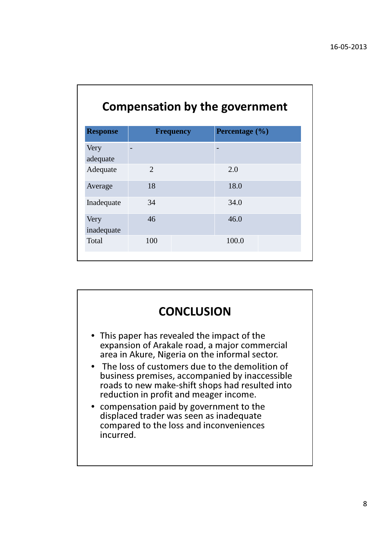| <b>Compensation by the government</b> |                  |                |  |
|---------------------------------------|------------------|----------------|--|
| <b>Response</b>                       | <b>Frequency</b> | Percentage (%) |  |
| Very<br>adequate                      |                  |                |  |
| Adequate                              | $\overline{2}$   | 2.0            |  |
| Average                               | 18               | 18.0           |  |
| Inadequate                            | 34               | 34.0           |  |
| Very<br>inadequate                    | 46               | 46.0           |  |
| Total                                 | 100              | 100.0          |  |